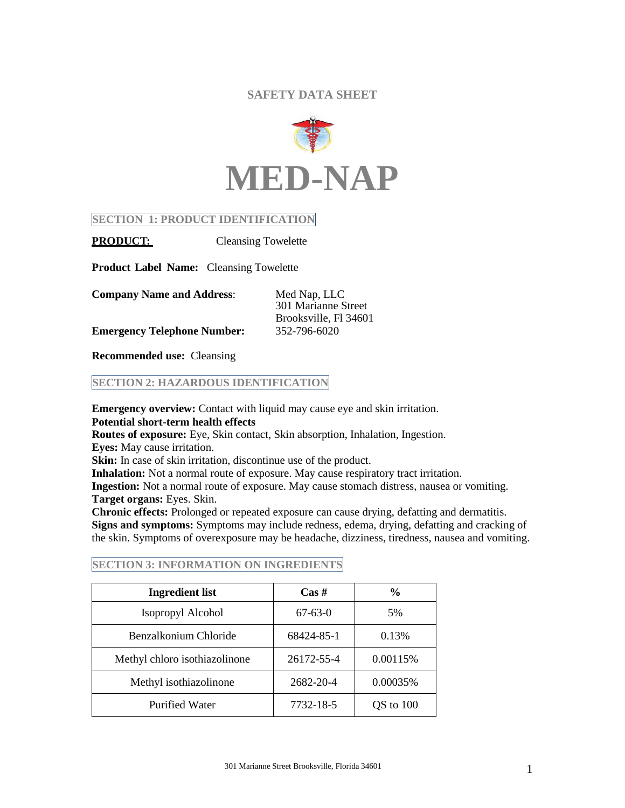# **SAFETY DATA SHEET**



## **SECTION 1: PRODUCT IDENTIFICATION**

**PRODUCT:** Cleansing Towelette

**Product Label Name:** Cleansing Towelette

| <b>Company Name and Address:</b>   | Med Nap, LLC          |  |
|------------------------------------|-----------------------|--|
|                                    | 301 Marianne Street   |  |
|                                    | Brooksville, Fl 34601 |  |
| <b>Emergency Telephone Number:</b> | 352-796-6020          |  |

**Recommended use:** Cleansing

## **SECTION 2: HAZARDOUS IDENTIFICATION**

**Emergency overview:** Contact with liquid may cause eye and skin irritation. **Potential short-term health effects** 

**Routes of exposure:** Eye, Skin contact, Skin absorption, Inhalation, Ingestion. **Eyes:** May cause irritation.

**Skin:** In case of skin irritation, discontinue use of the product.

**Inhalation:** Not a normal route of exposure. May cause respiratory tract irritation.

**Ingestion:** Not a normal route of exposure. May cause stomach distress, nausea or vomiting. **Target organs:** Eyes. Skin.

**Chronic effects:** Prolonged or repeated exposure can cause drying, defatting and dermatitis. **Signs and symptoms:** Symptoms may include redness, edema, drying, defatting and cracking of the skin. Symptoms of overexposure may be headache, dizziness, tiredness, nausea and vomiting.

| <b>Ingredient list</b>        | $\cos \#$  | $\frac{6}{9}$ |
|-------------------------------|------------|---------------|
| Isopropyl Alcohol             | $67-63-0$  | 5%            |
| Benzalkonium Chloride         | 68424-85-1 | 0.13%         |
| Methyl chloro isothiazolinone | 26172-55-4 | 0.00115%      |
| Methyl isothiazolinone        | 2682-20-4  | 0.00035%      |
| <b>Purified Water</b>         | 7732-18-5  | QS to 100     |

## **SECTION 3: INFORMATION ON INGREDIENTS**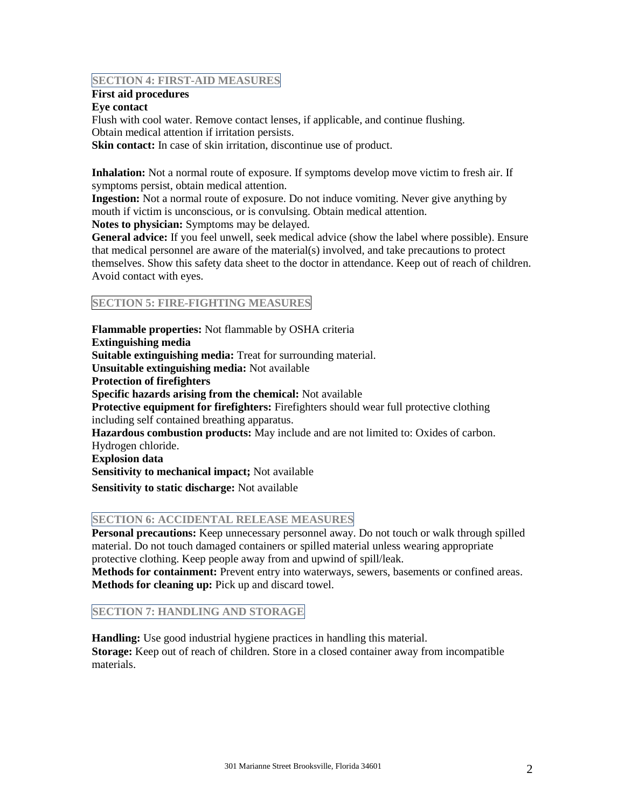### **SECTION 4: FIRST-AID MEASURES**

## **First aid procedures**

### **Eye contact**

Flush with cool water. Remove contact lenses, if applicable, and continue flushing. Obtain medical attention if irritation persists. **Skin contact:** In case of skin irritation, discontinue use of product.

**Inhalation:** Not a normal route of exposure. If symptoms develop move victim to fresh air. If symptoms persist, obtain medical attention.

**Ingestion:** Not a normal route of exposure. Do not induce vomiting. Never give anything by mouth if victim is unconscious, or is convulsing. Obtain medical attention.

**Notes to physician:** Symptoms may be delayed.

**General advice:** If you feel unwell, seek medical advice (show the label where possible). Ensure that medical personnel are aware of the material(s) involved, and take precautions to protect themselves. Show this safety data sheet to the doctor in attendance. Keep out of reach of children. Avoid contact with eyes.

# **SECTION 5: FIRE-FIGHTING MEASURES**

**Flammable properties:** Not flammable by OSHA criteria **Extinguishing media Suitable extinguishing media:** Treat for surrounding material. **Unsuitable extinguishing media:** Not available **Protection of firefighters Specific hazards arising from the chemical:** Not available **Protective equipment for firefighters:** Firefighters should wear full protective clothing including self contained breathing apparatus. **Hazardous combustion products:** May include and are not limited to: Oxides of carbon. Hydrogen chloride. **Explosion data Sensitivity to mechanical impact;** Not available **Sensitivity to static discharge:** Not available

### **SECTION 6: ACCIDENTAL RELEASE MEASURES**

**Personal precautions:** Keep unnecessary personnel away. Do not touch or walk through spilled material. Do not touch damaged containers or spilled material unless wearing appropriate protective clothing. Keep people away from and upwind of spill/leak.

**Methods for containment:** Prevent entry into waterways, sewers, basements or confined areas. **Methods for cleaning up:** Pick up and discard towel.

# **SECTION 7: HANDLING AND STORAGE**

**Handling:** Use good industrial hygiene practices in handling this material. **Storage:** Keep out of reach of children. Store in a closed container away from incompatible materials.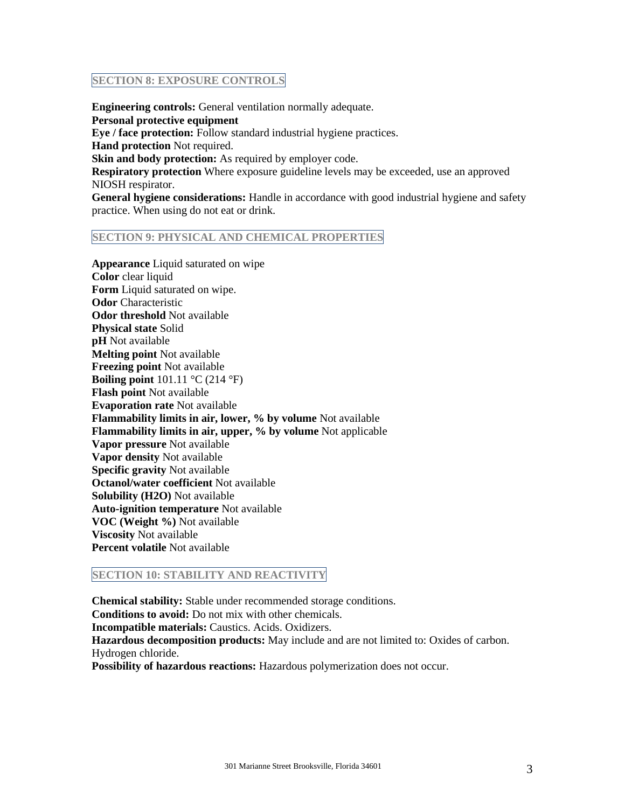### **SECTION 8: EXPOSURE CONTROLS**

**Engineering controls:** General ventilation normally adequate. **Personal protective equipment Eye / face protection:** Follow standard industrial hygiene practices. **Hand protection** Not required. **Skin and body protection:** As required by employer code. **Respiratory protection** Where exposure guideline levels may be exceeded, use an approved NIOSH respirator.

**General hygiene considerations:** Handle in accordance with good industrial hygiene and safety practice. When using do not eat or drink.

#### **SECTION 9: PHYSICAL AND CHEMICAL PROPERTIES**

**Appearance** Liquid saturated on wipe **Color** clear liquid **Form** Liquid saturated on wipe. **Odor** Characteristic **Odor threshold** Not available **Physical state** Solid **pH** Not available **Melting point** Not available **Freezing point** Not available **Boiling point** 101.11 °C (214 °F) **Flash point** Not available **Evaporation rate** Not available **Flammability limits in air, lower, % by volume** Not available **Flammability limits in air, upper, % by volume** Not applicable **Vapor pressure** Not available **Vapor density** Not available **Specific gravity** Not available **Octanol/water coefficient** Not available **Solubility (H2O)** Not available **Auto-ignition temperature** Not available **VOC (Weight %)** Not available **Viscosity** Not available **Percent volatile** Not available

#### **SECTION 10: STABILITY AND REACTIVITY**

**Chemical stability:** Stable under recommended storage conditions. **Conditions to avoid:** Do not mix with other chemicals. **Incompatible materials:** Caustics. Acids. Oxidizers. **Hazardous decomposition products:** May include and are not limited to: Oxides of carbon. Hydrogen chloride. **Possibility of hazardous reactions:** Hazardous polymerization does not occur.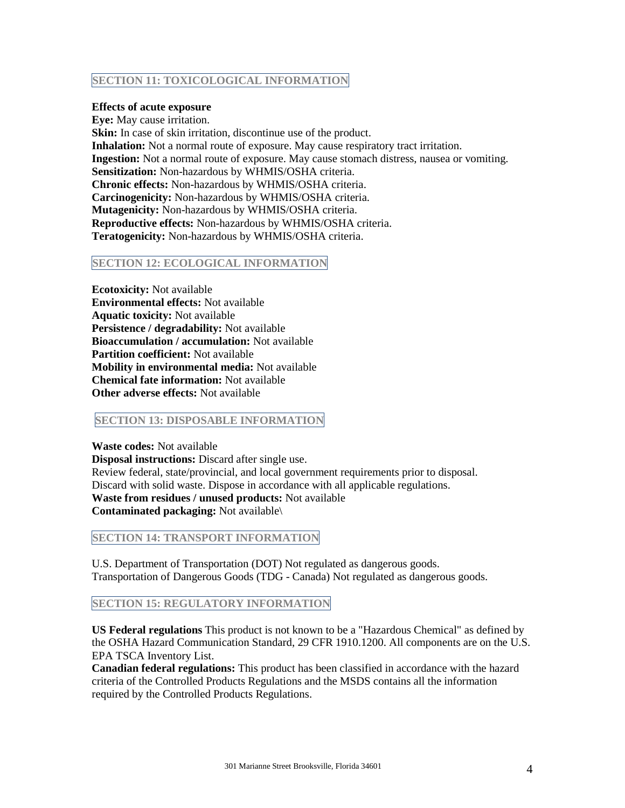## **SECTION 11: TOXICOLOGICAL INFORMATION**

#### **Effects of acute exposure**

**Eye:** May cause irritation. **Skin:** In case of skin irritation, discontinue use of the product. **Inhalation:** Not a normal route of exposure. May cause respiratory tract irritation. **Ingestion:** Not a normal route of exposure. May cause stomach distress, nausea or vomiting. **Sensitization:** Non-hazardous by WHMIS/OSHA criteria. **Chronic effects:** Non-hazardous by WHMIS/OSHA criteria. **Carcinogenicity:** Non-hazardous by WHMIS/OSHA criteria. **Mutagenicity:** Non-hazardous by WHMIS/OSHA criteria. **Reproductive effects:** Non-hazardous by WHMIS/OSHA criteria. **Teratogenicity:** Non-hazardous by WHMIS/OSHA criteria.

### **SECTION 12: ECOLOGICAL INFORMATION**

**Ecotoxicity:** Not available **Environmental effects:** Not available **Aquatic toxicity:** Not available **Persistence / degradability:** Not available **Bioaccumulation / accumulation:** Not available **Partition coefficient:** Not available **Mobility in environmental media:** Not available **Chemical fate information:** Not available **Other adverse effects:** Not available

#### **SECTION 13: DISPOSABLE INFORMATION**

**Waste codes:** Not available **Disposal instructions:** Discard after single use. Review federal, state/provincial, and local government requirements prior to disposal. Discard with solid waste. Dispose in accordance with all applicable regulations. **Waste from residues / unused products:** Not available **Contaminated packaging:** Not available\

**SECTION 14: TRANSPORT INFORMATION**

U.S. Department of Transportation (DOT) Not regulated as dangerous goods. Transportation of Dangerous Goods (TDG - Canada) Not regulated as dangerous goods.

### **SECTION 15: REGULATORY INFORMATION**

**US Federal regulations** This product is not known to be a "Hazardous Chemical" as defined by the OSHA Hazard Communication Standard, 29 CFR 1910.1200. All components are on the U.S. EPA TSCA Inventory List.

**Canadian federal regulations:** This product has been classified in accordance with the hazard criteria of the Controlled Products Regulations and the MSDS contains all the information required by the Controlled Products Regulations.